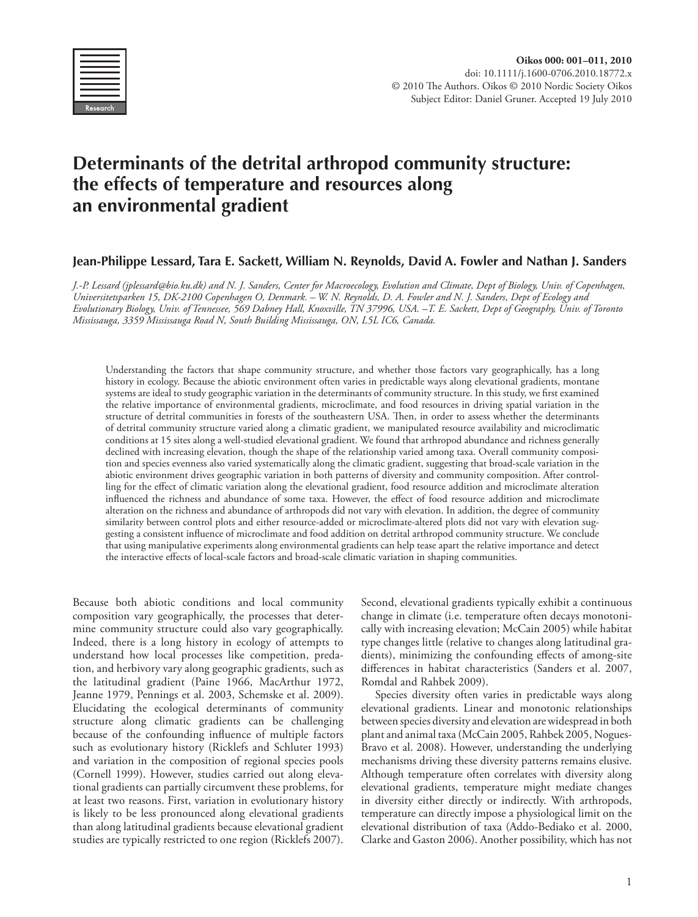

# **Determinants of the detrital arthropod community structure: the effects of temperature and resources along an environmental gradient**

# **Jean-Philippe Lessard, Tara E. Sackett, William N. Reynolds, David A. Fowler and Nathan J. Sanders**

*J.-P. Lessard (jplessard@bio.ku.dk) and N. J. Sanders, Center for Macroecology, Evolution and Climate, Dept of Biology, Univ. of Copenhagen, Universitetsparken 15, DK-2100 Copenhagen O, Denmark. – W. N. Reynolds, D. A. Fowler and N. J. Sanders, Dept of Ecology and Evolutionary Biology, Univ. of Tennessee, 569 Dabney Hall, Knoxville, TN 37996, USA. –T. E. Sackett, Dept of Geography, Univ. of Toronto Mississauga, 3359 Mississauga Road N, South Building Mississauga, ON, L5L IC6, Canada.*

Understanding the factors that shape community structure, and whether those factors vary geographically, has a long history in ecology. Because the abiotic environment often varies in predictable ways along elevational gradients, montane systems are ideal to study geographic variation in the determinants of community structure. In this study, we first examined the relative importance of environmental gradients, microclimate, and food resources in driving spatial variation in the structure of detrital communities in forests of the southeastern USA. Then, in order to assess whether the determinants of detrital community structure varied along a climatic gradient, we manipulated resource availability and microclimatic conditions at 15 sites along a well-studied elevational gradient. We found that arthropod abundance and richness generally declined with increasing elevation, though the shape of the relationship varied among taxa. Overall community composition and species evenness also varied systematically along the climatic gradient, suggesting that broad-scale variation in the abiotic environment drives geographic variation in both patterns of diversity and community composition. After controlling for the effect of climatic variation along the elevational gradient, food resource addition and microclimate alteration influenced the richness and abundance of some taxa. However, the effect of food resource addition and microclimate alteration on the richness and abundance of arthropods did not vary with elevation. In addition, the degree of community similarity between control plots and either resource-added or microclimate-altered plots did not vary with elevation suggesting a consistent influence of microclimate and food addition on detrital arthropod community structure. We conclude that using manipulative experiments along environmental gradients can help tease apart the relative importance and detect the interactive effects of local-scale factors and broad-scale climatic variation in shaping communities.

Because both abiotic conditions and local community composition vary geographically, the processes that determine community structure could also vary geographically. Indeed, there is a long history in ecology of attempts to understand how local processes like competition, predation, and herbivory vary along geographic gradients, such as the latitudinal gradient (Paine 1966, MacArthur 1972, Jeanne 1979, Pennings et al. 2003, Schemske et al. 2009). Elucidating the ecological determinants of community structure along climatic gradients can be challenging because of the confounding influence of multiple factors such as evolutionary history (Ricklefs and Schluter 1993) and variation in the composition of regional species pools (Cornell 1999). However, studies carried out along elevational gradients can partially circumvent these problems, for at least two reasons. First, variation in evolutionary history is likely to be less pronounced along elevational gradients than along latitudinal gradients because elevational gradient studies are typically restricted to one region (Ricklefs 2007). Second, elevational gradients typically exhibit a continuous change in climate (i.e. temperature often decays monotonically with increasing elevation; McCain 2005) while habitat type changes little (relative to changes along latitudinal gradients), minimizing the confounding effects of among-site differences in habitat characteristics (Sanders et al. 2007, Romdal and Rahbek 2009).

Species diversity often varies in predictable ways along elevational gradients. Linear and monotonic relationships between species diversity and elevation are widespread in both plant and animal taxa (McCain 2005, Rahbek 2005, Nogues-Bravo et al. 2008). However, understanding the underlying mechanisms driving these diversity patterns remains elusive. Although temperature often correlates with diversity along elevational gradients, temperature might mediate changes in diversity either directly or indirectly. With arthropods, temperature can directly impose a physiological limit on the elevational distribution of taxa (Addo-Bediako et al. 2000, Clarke and Gaston 2006). Another possibility, which has not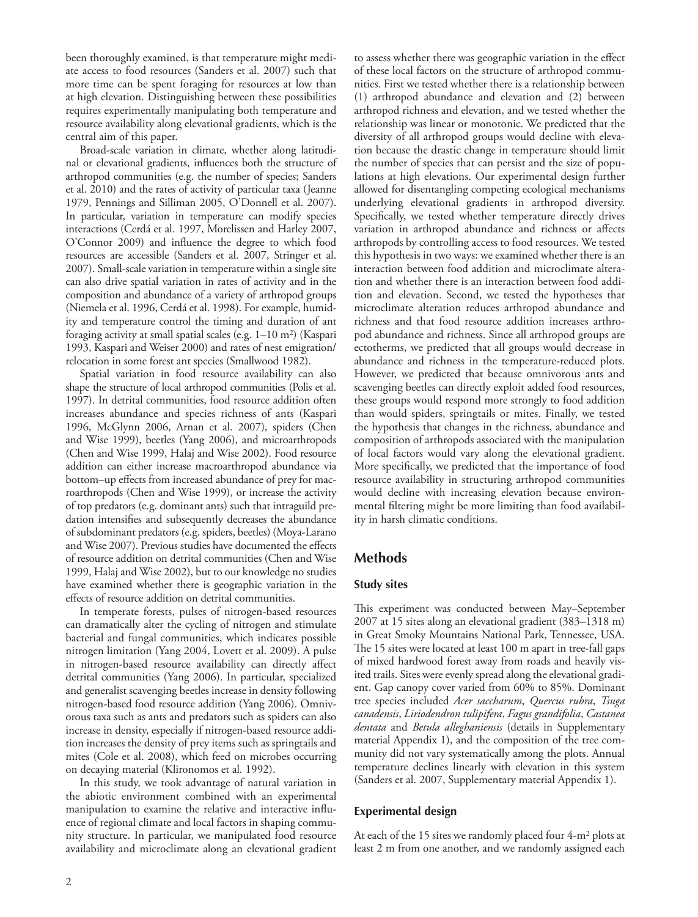been thoroughly examined, is that temperature might mediate access to food resources (Sanders et al. 2007) such that more time can be spent foraging for resources at low than at high elevation. Distinguishing between these possibilities requires experimentally manipulating both temperature and resource availability along elevational gradients, which is the central aim of this paper.

Broad-scale variation in climate, whether along latitudinal or elevational gradients, influences both the structure of arthropod communities (e.g. the number of species; Sanders et al. 2010) and the rates of activity of particular taxa (Jeanne 1979, Pennings and Silliman 2005, O'Donnell et al. 2007). In particular, variation in temperature can modify species interactions (Cerdá et al. 1997, Morelissen and Harley 2007, O'Connor 2009) and influence the degree to which food resources are accessible (Sanders et al. 2007, Stringer et al. 2007). Small-scale variation in temperature within a single site can also drive spatial variation in rates of activity and in the composition and abundance of a variety of arthropod groups (Niemela et al. 1996, Cerdá et al. 1998). For example, humidity and temperature control the timing and duration of ant foraging activity at small spatial scales (e.g. 1–10 m2) (Kaspari 1993, Kaspari and Weiser 2000) and rates of nest emigration/ relocation in some forest ant species (Smallwood 1982).

Spatial variation in food resource availability can also shape the structure of local arthropod communities (Polis et al. 1997). In detrital communities, food resource addition often increases abundance and species richness of ants (Kaspari 1996, McGlynn 2006, Arnan et al. 2007), spiders (Chen and Wise 1999), beetles (Yang 2006), and microarthropods (Chen and Wise 1999, Halaj and Wise 2002). Food resource addition can either increase macroarthropod abundance via bottom–up effects from increased abundance of prey for macroarthropods (Chen and Wise 1999), or increase the activity of top predators (e.g. dominant ants) such that intraguild predation intensifies and subsequently decreases the abundance of subdominant predators (e.g. spiders, beetles) (Moya-Larano and Wise 2007). Previous studies have documented the effects of resource addition on detrital communities (Chen and Wise 1999, Halaj and Wise 2002), but to our knowledge no studies have examined whether there is geographic variation in the effects of resource addition on detrital communities.

In temperate forests, pulses of nitrogen-based resources can dramatically alter the cycling of nitrogen and stimulate bacterial and fungal communities, which indicates possible nitrogen limitation (Yang 2004, Lovett et al. 2009). A pulse in nitrogen-based resource availability can directly affect detrital communities (Yang 2006). In particular, specialized and generalist scavenging beetles increase in density following nitrogen-based food resource addition (Yang 2006). Omnivorous taxa such as ants and predators such as spiders can also increase in density, especially if nitrogen-based resource addition increases the density of prey items such as springtails and mites (Cole et al. 2008), which feed on microbes occurring on decaying material (Klironomos et al*.* 1992).

In this study, we took advantage of natural variation in the abiotic environment combined with an experimental manipulation to examine the relative and interactive influence of regional climate and local factors in shaping community structure. In particular, we manipulated food resource availability and microclimate along an elevational gradient to assess whether there was geographic variation in the effect of these local factors on the structure of arthropod communities. First we tested whether there is a relationship between (1) arthropod abundance and elevation and (2) between arthropod richness and elevation, and we tested whether the relationship was linear or monotonic. We predicted that the diversity of all arthropod groups would decline with elevation because the drastic change in temperature should limit the number of species that can persist and the size of populations at high elevations. Our experimental design further allowed for disentangling competing ecological mechanisms underlying elevational gradients in arthropod diversity. Specifically, we tested whether temperature directly drives variation in arthropod abundance and richness or affects arthropods by controlling access to food resources. We tested this hypothesis in two ways: we examined whether there is an interaction between food addition and microclimate alteration and whether there is an interaction between food addition and elevation. Second, we tested the hypotheses that microclimate alteration reduces arthropod abundance and richness and that food resource addition increases arthropod abundance and richness. Since all arthropod groups are ectotherms, we predicted that all groups would decrease in abundance and richness in the temperature-reduced plots. However, we predicted that because omnivorous ants and scavenging beetles can directly exploit added food resources, these groups would respond more strongly to food addition than would spiders, springtails or mites. Finally, we tested the hypothesis that changes in the richness, abundance and composition of arthropods associated with the manipulation of local factors would vary along the elevational gradient. More specifically, we predicted that the importance of food resource availability in structuring arthropod communities would decline with increasing elevation because environmental filtering might be more limiting than food availability in harsh climatic conditions.

# **Methods**

### **Study sites**

This experiment was conducted between May–September 2007 at 15 sites along an elevational gradient (383–1318 m) in Great Smoky Mountains National Park, Tennessee, USA. The 15 sites were located at least 100 m apart in tree-fall gaps of mixed hardwood forest away from roads and heavily visited trails. Sites were evenly spread along the elevational gradient. Gap canopy cover varied from 60% to 85%. Dominant tree species included *Acer saccharum*, *Quercus rubra*, *Tsuga canadensis*, *Liriodendron tulipifera*, *Fagus grandifolia*, *Castanea dentata* and *Betula alleghaniensis* (details in Supplementary material Appendix 1), and the composition of the tree community did not vary systematically among the plots. Annual temperature declines linearly with elevation in this system (Sanders et al. 2007, Supplementary material Appendix 1).

#### **Experimental design**

At each of the 15 sites we randomly placed four 4-m2 plots at least 2 m from one another, and we randomly assigned each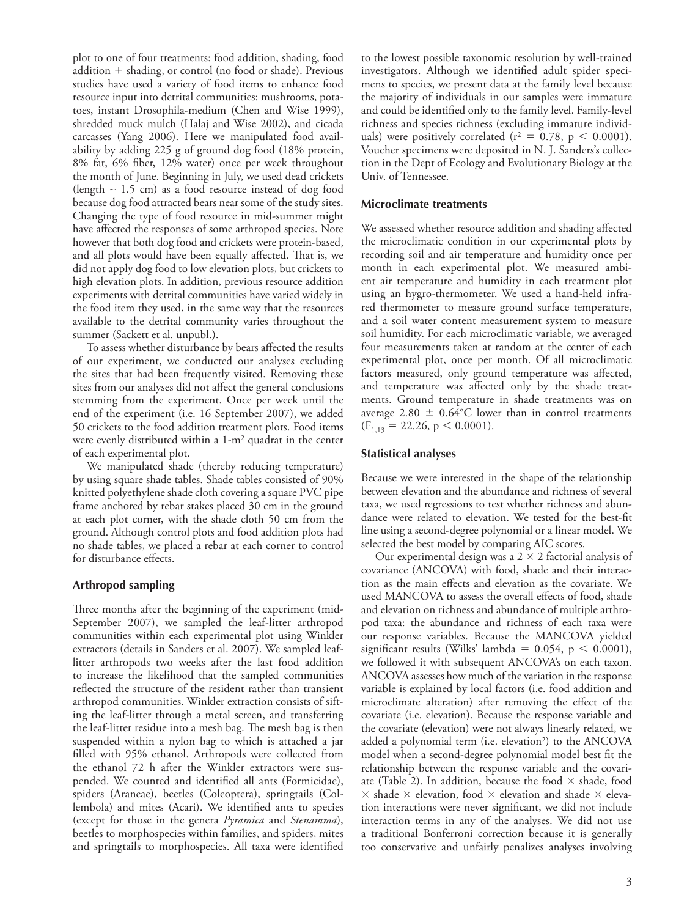plot to one of four treatments: food addition, shading, food addition  $+$  shading, or control (no food or shade). Previous studies have used a variety of food items to enhance food resource input into detrital communities: mushrooms, potatoes, instant Drosophila-medium (Chen and Wise 1999), shredded muck mulch (Halaj and Wise 2002), and cicada carcasses (Yang 2006). Here we manipulated food availability by adding 225 g of ground dog food (18% protein, 8% fat, 6% fiber, 12% water) once per week throughout the month of June. Beginning in July, we used dead crickets (length ∼ 1.5 cm) as a food resource instead of dog food because dog food attracted bears near some of the study sites. Changing the type of food resource in mid-summer might have affected the responses of some arthropod species. Note however that both dog food and crickets were protein-based, and all plots would have been equally affected. That is, we did not apply dog food to low elevation plots, but crickets to high elevation plots. In addition, previous resource addition experiments with detrital communities have varied widely in the food item they used, in the same way that the resources available to the detrital community varies throughout the summer (Sackett et al. unpubl.).

To assess whether disturbance by bears affected the results of our experiment, we conducted our analyses excluding the sites that had been frequently visited. Removing these sites from our analyses did not affect the general conclusions stemming from the experiment. Once per week until the end of the experiment (i.e. 16 September 2007), we added 50 crickets to the food addition treatment plots. Food items were evenly distributed within a 1-m2 quadrat in the center of each experimental plot.

We manipulated shade (thereby reducing temperature) by using square shade tables. Shade tables consisted of 90% knitted polyethylene shade cloth covering a square PVC pipe frame anchored by rebar stakes placed 30 cm in the ground at each plot corner, with the shade cloth 50 cm from the ground. Although control plots and food addition plots had no shade tables, we placed a rebar at each corner to control for disturbance effects.

# **Arthropod sampling**

Three months after the beginning of the experiment (mid-September 2007), we sampled the leaf-litter arthropod communities within each experimental plot using Winkler extractors (details in Sanders et al. 2007). We sampled leaflitter arthropods two weeks after the last food addition to increase the likelihood that the sampled communities reflected the structure of the resident rather than transient arthropod communities. Winkler extraction consists of sifting the leaf-litter through a metal screen, and transferring the leaf-litter residue into a mesh bag. The mesh bag is then suspended within a nylon bag to which is attached a jar filled with 95% ethanol. Arthropods were collected from the ethanol 72 h after the Winkler extractors were suspended. We counted and identified all ants (Formicidae), spiders (Araneae), beetles (Coleoptera), springtails (Collembola) and mites (Acari). We identified ants to species (except for those in the genera *Pyramica* and *Stenamma*), beetles to morphospecies within families, and spiders, mites and springtails to morphospecies. All taxa were identified to the lowest possible taxonomic resolution by well-trained investigators. Although we identified adult spider specimens to species, we present data at the family level because the majority of individuals in our samples were immature and could be identified only to the family level. Family-level richness and species richness (excluding immature individuals) were positively correlated ( $r^2 = 0.78$ ,  $p < 0.0001$ ). Voucher specimens were deposited in N. J. Sanders's collection in the Dept of Ecology and Evolutionary Biology at the Univ. of Tennessee.

#### **Microclimate treatments**

We assessed whether resource addition and shading affected the microclimatic condition in our experimental plots by recording soil and air temperature and humidity once per month in each experimental plot. We measured ambient air temperature and humidity in each treatment plot using an hygro-thermometer. We used a hand-held infrared thermometer to measure ground surface temperature, and a soil water content measurement system to measure soil humidity. For each microclimatic variable, we averaged four measurements taken at random at the center of each experimental plot, once per month. Of all microclimatic factors measured, only ground temperature was affected, and temperature was affected only by the shade treatments. Ground temperature in shade treatments was on average 2.80  $\pm$  0.64°C lower than in control treatments  $(F<sub>1,13</sub> = 22.26, p < 0.0001).$ 

#### **Statistical analyses**

Because we were interested in the shape of the relationship between elevation and the abundance and richness of several taxa, we used regressions to test whether richness and abundance were related to elevation. We tested for the best-fit line using a second-degree polynomial or a linear model. We selected the best model by comparing AIC scores.

Our experimental design was a  $2 \times 2$  factorial analysis of covariance (ANCOVA) with food, shade and their interaction as the main effects and elevation as the covariate. We used MANCOVA to assess the overall effects of food, shade and elevation on richness and abundance of multiple arthropod taxa: the abundance and richness of each taxa were our response variables. Because the MANCOVA yielded significant results (Wilks' lambda =  $0.054$ , p <  $0.0001$ ), we followed it with subsequent ANCOVA's on each taxon. ANCOVA assesses how much of the variation in the response variable is explained by local factors (i.e. food addition and microclimate alteration) after removing the effect of the covariate (i.e. elevation). Because the response variable and the covariate (elevation) were not always linearly related, we added a polynomial term (i.e. elevation<sup>2</sup>) to the ANCOVA model when a second-degree polynomial model best fit the relationship between the response variable and the covariate (Table 2). In addition, because the food  $\times$  shade, food  $\times$  shade  $\times$  elevation, food  $\times$  elevation and shade  $\times$  elevation interactions were never significant, we did not include interaction terms in any of the analyses. We did not use a traditional Bonferroni correction because it is generally too conservative and unfairly penalizes analyses involving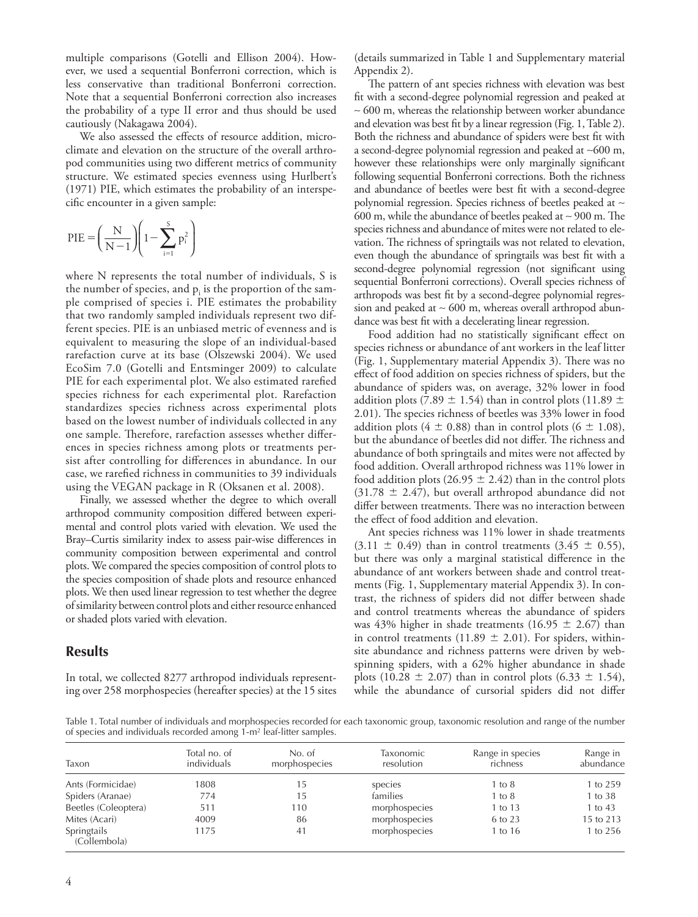multiple comparisons (Gotelli and Ellison 2004). However, we used a sequential Bonferroni correction, which is less conservative than traditional Bonferroni correction. Note that a sequential Bonferroni correction also increases the probability of a type II error and thus should be used cautiously (Nakagawa 2004).

We also assessed the effects of resource addition, microclimate and elevation on the structure of the overall arthropod communities using two different metrics of community structure. We estimated species evenness using Hurlbert's (1971) PIE, which estimates the probability of an interspecific encounter in a given sample:

$$
PIE = \left(\frac{N}{N-1}\right) \left(1 - \sum_{i=1}^{S} p_i^2\right)
$$

where N represents the total number of individuals, S is the number of species, and  $p_i$  is the proportion of the sample comprised of species i. PIE estimates the probability that two randomly sampled individuals represent two different species. PIE is an unbiased metric of evenness and is equivalent to measuring the slope of an individual-based rarefaction curve at its base (Olszewski 2004). We used EcoSim 7.0 (Gotelli and Entsminger 2009) to calculate PIE for each experimental plot. We also estimated rarefied species richness for each experimental plot. Rarefaction standardizes species richness across experimental plots based on the lowest number of individuals collected in any one sample. Therefore, rarefaction assesses whether differences in species richness among plots or treatments persist after controlling for differences in abundance. In our case, we rarefied richness in communities to 39 individuals using the VEGAN package in R (Oksanen et al. 2008).

Finally, we assessed whether the degree to which overall arthropod community composition differed between experimental and control plots varied with elevation. We used the Bray–Curtis similarity index to assess pair-wise differences in community composition between experimental and control plots. We compared the species composition of control plots to the species composition of shade plots and resource enhanced plots. We then used linear regression to test whether the degree of similarity between control plots and either resource enhanced or shaded plots varied with elevation.

# **Results**

In total, we collected 8277 arthropod individuals representing over 258 morphospecies (hereafter species) at the 15 sites (details summarized in Table 1 and Supplementary material Appendix 2).

The pattern of ant species richness with elevation was best fit with a second-degree polynomial regression and peaked at ∼ 600 m, whereas the relationship between worker abundance and elevation was best fit by a linear regression (Fig. 1, Table 2). Both the richness and abundance of spiders were best fit with a second-degree polynomial regression and peaked at ∼600 m, however these relationships were only marginally significant following sequential Bonferroni corrections. Both the richness and abundance of beetles were best fit with a second-degree polynomial regression. Species richness of beetles peaked at ∼ 600 m, while the abundance of beetles peaked at ∼ 900 m. The species richness and abundance of mites were not related to elevation. The richness of springtails was not related to elevation, even though the abundance of springtails was best fit with a second-degree polynomial regression (not significant using sequential Bonferroni corrections). Overall species richness of arthropods was best fit by a second-degree polynomial regression and peaked at ∼ 600 m, whereas overall arthropod abundance was best fit with a decelerating linear regression.

Food addition had no statistically significant effect on species richness or abundance of ant workers in the leaf litter (Fig. 1, Supplementary material Appendix 3). There was no effect of food addition on species richness of spiders, but the abundance of spiders was, on average, 32% lower in food addition plots (7.89  $\pm$  1.54) than in control plots (11.89  $\pm$ 2.01). The species richness of beetles was 33% lower in food addition plots (4  $\pm$  0.88) than in control plots (6  $\pm$  1.08), but the abundance of beetles did not differ. The richness and abundance of both springtails and mites were not affected by food addition. Overall arthropod richness was 11% lower in food addition plots (26.95  $\pm$  2.42) than in the control plots  $(31.78 \pm 2.47)$ , but overall arthropod abundance did not differ between treatments. There was no interaction between the effect of food addition and elevation.

Ant species richness was 11% lower in shade treatments  $(3.11 \pm 0.49)$  than in control treatments  $(3.45 \pm 0.55)$ , but there was only a marginal statistical difference in the abundance of ant workers between shade and control treatments (Fig. 1, Supplementary material Appendix 3). In contrast, the richness of spiders did not differ between shade and control treatments whereas the abundance of spiders was 43% higher in shade treatments (16.95  $\pm$  2.67) than in control treatments (11.89  $\pm$  2.01). For spiders, withinsite abundance and richness patterns were driven by webspinning spiders, with a 62% higher abundance in shade plots (10.28  $\pm$  2.07) than in control plots (6.33  $\pm$  1.54), while the abundance of cursorial spiders did not differ

Table 1. Total number of individuals and morphospecies recorded for each taxonomic group, taxonomic resolution and range of the number of species and individuals recorded among 1-m2 leaf-litter samples.

| Taxon                       | Total no. of<br>individuals | No. of<br>morphospecies | <b>Taxonomic</b><br>resolution | Range in species<br>richness | Range in<br>abundance |
|-----------------------------|-----------------------------|-------------------------|--------------------------------|------------------------------|-----------------------|
| Ants (Formicidae)           | 1808                        | 15                      | species                        | $1$ to $8$                   | 1 to 259              |
| Spiders (Aranae)            | 774                         | 15                      | families                       | $1$ to $8$                   | 1 to 38               |
| Beetles (Coleoptera)        | 511                         | 110                     | morphospecies                  | 1 to 13                      | 1 to 43               |
| Mites (Acari)               | 4009                        | 86                      | morphospecies                  | 6 to 23                      | 15 to 213             |
| Springtails<br>(Collembola) | 1175                        | 41                      | morphospecies                  | 1 to 16                      | 1 to 256              |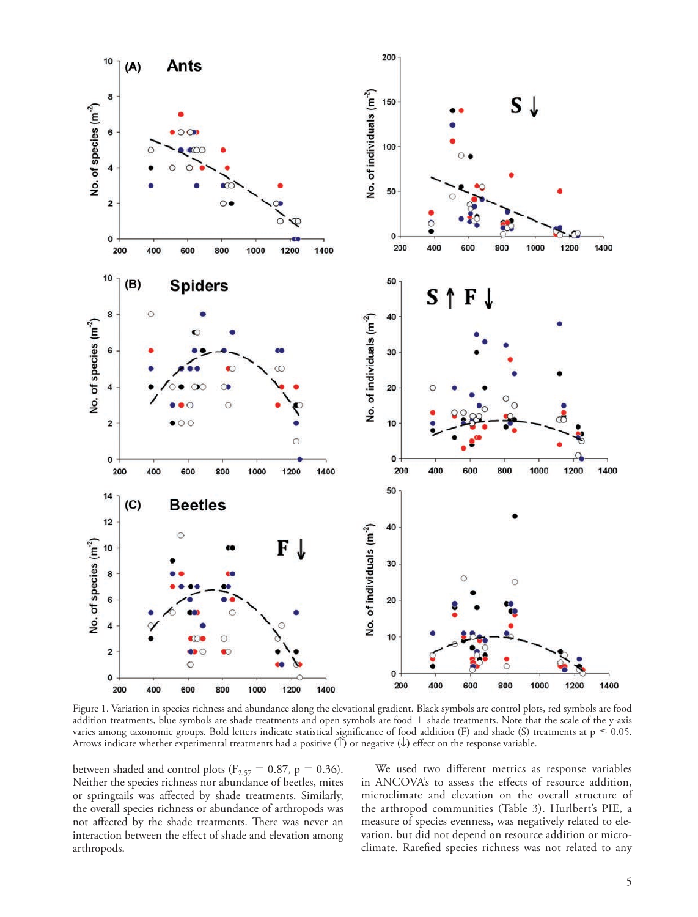

Figure 1. Variation in species richness and abundance along the elevational gradient. Black symbols are control plots, red symbols are food addition treatments, blue symbols are shade treatments and open symbols are food  $+$  shade treatments. Note that the scale of the y-axis varies among taxonomic groups. Bold letters indicate statistical significance of food addition (F) and shade (S) treatments at  $p \le 0.05$ . Arrows indicate whether experimental treatments had a positive (↑**)** or negative (↓**)** effect on the response variable.

between shaded and control plots ( $F_{2,57} = 0.87$ , p = 0.36). Neither the species richness nor abundance of beetles, mites or springtails was affected by shade treatments. Similarly, the overall species richness or abundance of arthropods was not affected by the shade treatments. There was never an interaction between the effect of shade and elevation among arthropods.

We used two different metrics as response variables in ANCOVA's to assess the effects of resource addition, microclimate and elevation on the overall structure of the arthropod communities (Table 3). Hurlbert's PIE, a measure of species evenness, was negatively related to elevation, but did not depend on resource addition or microclimate. Rarefied species richness was not related to any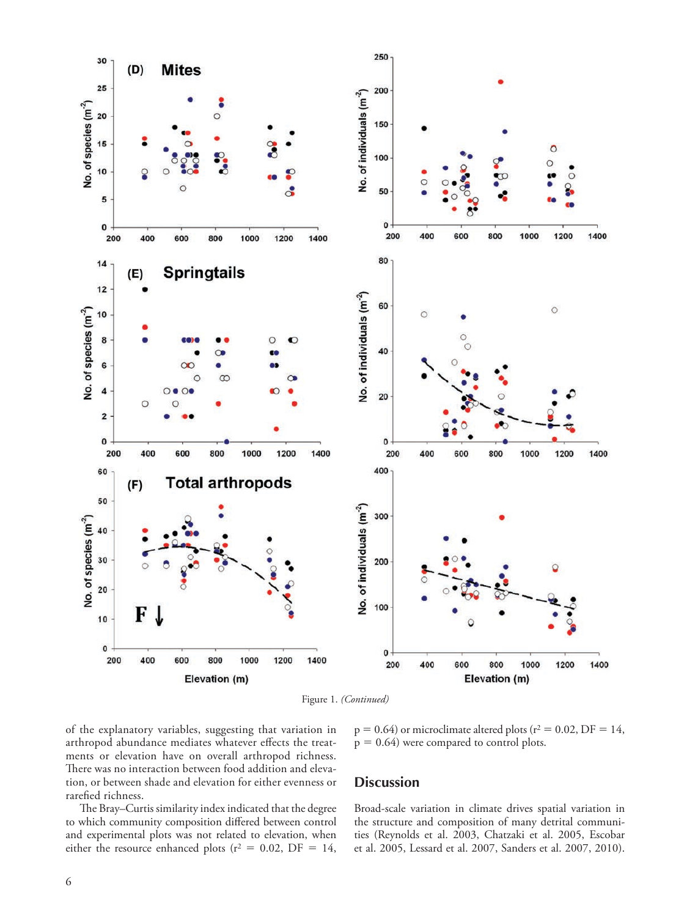

Figure 1. *(Continued)*

of the explanatory variables, suggesting that variation in arthropod abundance mediates whatever effects the treatments or elevation have on overall arthropod richness. There was no interaction between food addition and elevation, or between shade and elevation for either evenness or rarefied richness.

either the resource enhanced plots ( $r^2 = 0.02$ , DF = 14,

The Bray–Curtis similarity index indicated that the degree to which community composition differed between control and experimental plots was not related to elevation, when

 $p = 0.64$ ) or microclimate altered plots ( $r^2 = 0.02$ , DF = 14,  $p = 0.64$ ) were compared to control plots.

# **Discussion**

Broad-scale variation in climate drives spatial variation in the structure and composition of many detrital communities (Reynolds et al. 2003, Chatzaki et al. 2005, Escobar et al. 2005, Lessard et al. 2007, Sanders et al. 2007, 2010).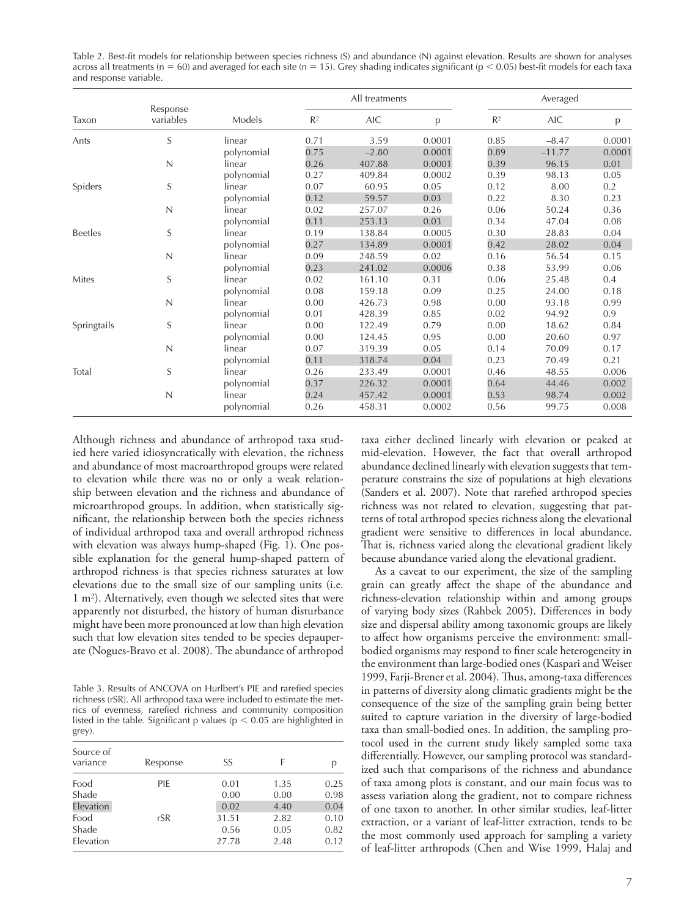| Table 2. Best-fit models for relationship between species richness (S) and abundance (N) against elevation. Results are shown for analyses                  |  |
|-------------------------------------------------------------------------------------------------------------------------------------------------------------|--|
| across all treatments ( $n = 60$ ) and averaged for each site ( $n = 15$ ). Grey shading indicates significant ( $p < 0.05$ ) best-fit models for each taxa |  |
| and response variable.                                                                                                                                      |  |

|                |                       |            | All treatments |            |        | Averaged |            |        |
|----------------|-----------------------|------------|----------------|------------|--------|----------|------------|--------|
| Taxon          | Response<br>variables | Models     | $R^2$          | <b>AIC</b> | p      | $R^2$    | <b>AIC</b> | p      |
| Ants           | S                     | linear     | 0.71           | 3.59       | 0.0001 | 0.85     | $-8.47$    | 0.0001 |
|                |                       | polynomial | 0.75           | $-2.80$    | 0.0001 | 0.89     | $-11.77$   | 0.0001 |
|                | $\mathbb N$           | linear     | 0.26           | 407.88     | 0.0001 | 0.39     | 96.15      | 0.01   |
|                |                       | polynomial | 0.27           | 409.84     | 0.0002 | 0.39     | 98.13      | 0.05   |
| Spiders        | S                     | linear     | 0.07           | 60.95      | 0.05   | 0.12     | 8.00       | 0.2    |
|                |                       | polynomial | 0.12           | 59.57      | 0.03   | 0.22     | 8.30       | 0.23   |
|                | $\mathbb N$           | linear     | 0.02           | 257.07     | 0.26   | 0.06     | 50.24      | 0.36   |
|                |                       | polynomial | 0.11           | 253.13     | 0.03   | 0.34     | 47.04      | 0.08   |
| <b>Beetles</b> | S                     | linear     | 0.19           | 138.84     | 0.0005 | 0.30     | 28.83      | 0.04   |
|                |                       | polynomial | 0.27           | 134.89     | 0.0001 | 0.42     | 28.02      | 0.04   |
|                | $\mathsf{N}$          | linear     | 0.09           | 248.59     | 0.02   | 0.16     | 56.54      | 0.15   |
|                |                       | polynomial | 0.23           | 241.02     | 0.0006 | 0.38     | 53.99      | 0.06   |
| Mites          | S                     | linear     | 0.02           | 161.10     | 0.31   | 0.06     | 25.48      | 0.4    |
|                |                       | polynomial | 0.08           | 159.18     | 0.09   | 0.25     | 24.00      | 0.18   |
|                | $\mathsf{N}$          | linear     | 0.00           | 426.73     | 0.98   | 0.00     | 93.18      | 0.99   |
|                |                       | polynomial | 0.01           | 428.39     | 0.85   | 0.02     | 94.92      | 0.9    |
| Springtails    | S                     | linear     | 0.00           | 122.49     | 0.79   | 0.00     | 18.62      | 0.84   |
|                |                       | polynomial | 0.00           | 124.45     | 0.95   | 0.00     | 20.60      | 0.97   |
|                | $\mathsf{N}$          | linear     | 0.07           | 319.39     | 0.05   | 0.14     | 70.09      | 0.17   |
|                |                       | polynomial | 0.11           | 318.74     | 0.04   | 0.23     | 70.49      | 0.21   |
| Total          | S                     | linear     | 0.26           | 233.49     | 0.0001 | 0.46     | 48.55      | 0.006  |
|                |                       | polynomial | 0.37           | 226.32     | 0.0001 | 0.64     | 44.46      | 0.002  |
|                | $\mathsf{N}$          | linear     | 0.24           | 457.42     | 0.0001 | 0.53     | 98.74      | 0.002  |
|                |                       | polynomial | 0.26           | 458.31     | 0.0002 | 0.56     | 99.75      | 0.008  |

Although richness and abundance of arthropod taxa studied here varied idiosyncratically with elevation, the richness and abundance of most macroarthropod groups were related to elevation while there was no or only a weak relationship between elevation and the richness and abundance of microarthropod groups. In addition, when statistically significant, the relationship between both the species richness of individual arthropod taxa and overall arthropod richness with elevation was always hump-shaped (Fig. 1). One possible explanation for the general hump-shaped pattern of arthropod richness is that species richness saturates at low elevations due to the small size of our sampling units (i.e. 1 m2). Alternatively, even though we selected sites that were apparently not disturbed, the history of human disturbance might have been more pronounced at low than high elevation such that low elevation sites tended to be species depauperate (Nogues-Bravo et al. 2008). The abundance of arthropod

Table 3. Results of ANCOVA on Hurlbert's PIE and rarefied species richness (rSR). All arthropod taxa were included to estimate the metrics of evenness, rarefied richness and community composition listed in the table. Significant p values ( $p < 0.05$  are highlighted in grey).

| Source of<br>variance | Response | SS    | F    | р    |
|-----------------------|----------|-------|------|------|
| Food                  | PIE      | 0.01  | 1.35 | 0.25 |
| Shade                 |          | 0.00  | 0.00 | 0.98 |
| <b>Elevation</b>      |          | 0.02  | 4.40 | 0.04 |
| Food                  | rSR      | 31.51 | 2.82 | 0.10 |
| Shade                 |          | 0.56  | 0.05 | 0.82 |
| Elevation             |          | 27.78 | 2.48 | 0.12 |

taxa either declined linearly with elevation or peaked at mid-elevation. However, the fact that overall arthropod abundance declined linearly with elevation suggests that temperature constrains the size of populations at high elevations (Sanders et al. 2007). Note that rarefied arthropod species richness was not related to elevation, suggesting that patterns of total arthropod species richness along the elevational gradient were sensitive to differences in local abundance. That is, richness varied along the elevational gradient likely because abundance varied along the elevational gradient.

As a caveat to our experiment, the size of the sampling grain can greatly affect the shape of the abundance and richness-elevation relationship within and among groups of varying body sizes (Rahbek 2005). Differences in body size and dispersal ability among taxonomic groups are likely to affect how organisms perceive the environment: smallbodied organisms may respond to finer scale heterogeneity in the environment than large-bodied ones (Kaspari and Weiser 1999, Farji-Brener et al. 2004). Thus, among-taxa differences in patterns of diversity along climatic gradients might be the consequence of the size of the sampling grain being better suited to capture variation in the diversity of large-bodied taxa than small-bodied ones. In addition, the sampling protocol used in the current study likely sampled some taxa differentially. However, our sampling protocol was standardized such that comparisons of the richness and abundance of taxa among plots is constant, and our main focus was to assess variation along the gradient, not to compare richness of one taxon to another. In other similar studies, leaf-litter extraction, or a variant of leaf-litter extraction, tends to be the most commonly used approach for sampling a variety of leaf-litter arthropods (Chen and Wise 1999, Halaj and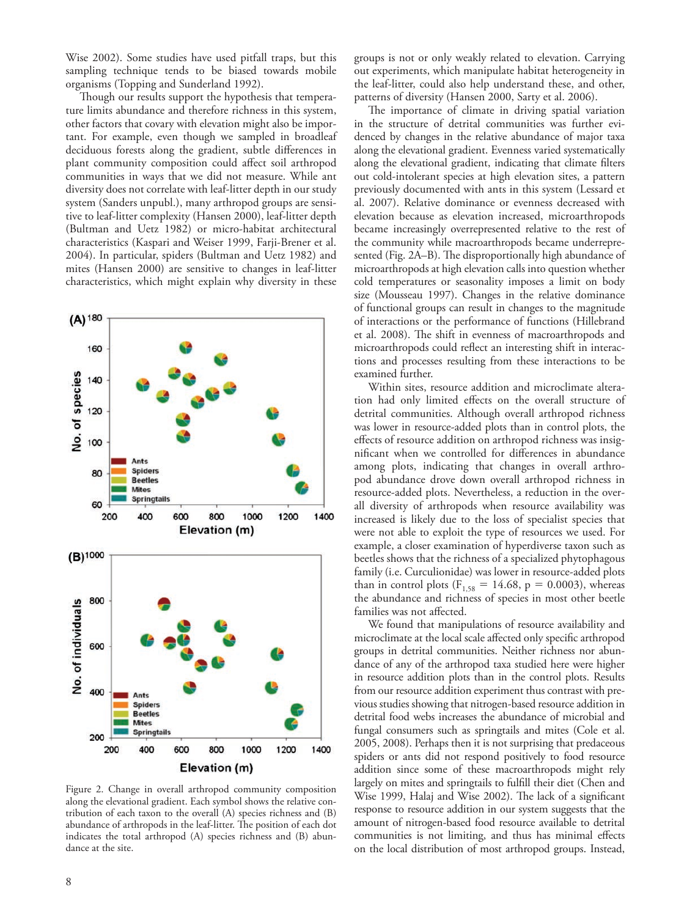Wise 2002). Some studies have used pitfall traps, but this sampling technique tends to be biased towards mobile organisms (Topping and Sunderland 1992).

Though our results support the hypothesis that temperature limits abundance and therefore richness in this system, other factors that covary with elevation might also be important. For example, even though we sampled in broadleaf deciduous forests along the gradient, subtle differences in plant community composition could affect soil arthropod communities in ways that we did not measure. While ant diversity does not correlate with leaf-litter depth in our study system (Sanders unpubl.), many arthropod groups are sensitive to leaf-litter complexity (Hansen 2000), leaf-litter depth (Bultman and Uetz 1982) or micro-habitat architectural characteristics (Kaspari and Weiser 1999, Farji-Brener et al. 2004). In particular, spiders (Bultman and Uetz 1982) and mites (Hansen 2000) are sensitive to changes in leaf-litter characteristics, which might explain why diversity in these



Figure 2. Change in overall arthropod community composition along the elevational gradient. Each symbol shows the relative contribution of each taxon to the overall (A) species richness and (B) abundance of arthropods in the leaf-litter. The position of each dot indicates the total arthropod (A) species richness and (B) abundance at the site.

groups is not or only weakly related to elevation. Carrying out experiments, which manipulate habitat heterogeneity in the leaf-litter, could also help understand these, and other, patterns of diversity (Hansen 2000, Sarty et al. 2006).

The importance of climate in driving spatial variation in the structure of detrital communities was further evidenced by changes in the relative abundance of major taxa along the elevational gradient. Evenness varied systematically along the elevational gradient, indicating that climate filters out cold-intolerant species at high elevation sites, a pattern previously documented with ants in this system (Lessard et al. 2007). Relative dominance or evenness decreased with elevation because as elevation increased, microarthropods became increasingly overrepresented relative to the rest of the community while macroarthropods became underrepresented (Fig. 2A–B). The disproportionally high abundance of microarthropods at high elevation calls into question whether cold temperatures or seasonality imposes a limit on body size (Mousseau 1997). Changes in the relative dominance of functional groups can result in changes to the magnitude of interactions or the performance of functions (Hillebrand et al. 2008). The shift in evenness of macroarthropods and microarthropods could reflect an interesting shift in interactions and processes resulting from these interactions to be examined further.

Within sites, resource addition and microclimate alteration had only limited effects on the overall structure of detrital communities. Although overall arthropod richness was lower in resource-added plots than in control plots, the effects of resource addition on arthropod richness was insignificant when we controlled for differences in abundance among plots, indicating that changes in overall arthropod abundance drove down overall arthropod richness in resource-added plots. Nevertheless, a reduction in the overall diversity of arthropods when resource availability was increased is likely due to the loss of specialist species that were not able to exploit the type of resources we used. For example, a closer examination of hyperdiverse taxon such as beetles shows that the richness of a specialized phytophagous family (i.e. Curculionidae) was lower in resource-added plots than in control plots (F<sub>1,58</sub> = 14.68, p = 0.0003), whereas the abundance and richness of species in most other beetle families was not affected.

We found that manipulations of resource availability and microclimate at the local scale affected only specific arthropod groups in detrital communities. Neither richness nor abundance of any of the arthropod taxa studied here were higher in resource addition plots than in the control plots. Results from our resource addition experiment thus contrast with previous studies showing that nitrogen-based resource addition in detrital food webs increases the abundance of microbial and fungal consumers such as springtails and mites (Cole et al. 2005, 2008). Perhaps then it is not surprising that predaceous spiders or ants did not respond positively to food resource addition since some of these macroarthropods might rely largely on mites and springtails to fulfill their diet (Chen and Wise 1999, Halaj and Wise 2002). The lack of a significant response to resource addition in our system suggests that the amount of nitrogen-based food resource available to detrital communities is not limiting, and thus has minimal effects on the local distribution of most arthropod groups. Instead,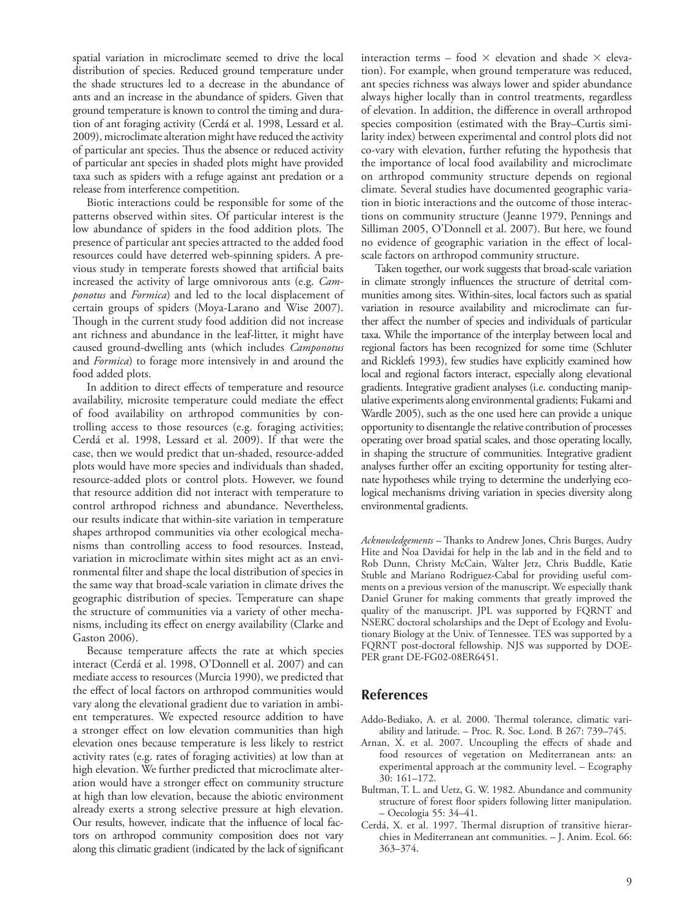spatial variation in microclimate seemed to drive the local distribution of species. Reduced ground temperature under the shade structures led to a decrease in the abundance of ants and an increase in the abundance of spiders. Given that ground temperature is known to control the timing and duration of ant foraging activity (Cerdá et al. 1998, Lessard et al. 2009), microclimate alteration might have reduced the activity of particular ant species. Thus the absence or reduced activity of particular ant species in shaded plots might have provided taxa such as spiders with a refuge against ant predation or a release from interference competition.

Biotic interactions could be responsible for some of the patterns observed within sites. Of particular interest is the low abundance of spiders in the food addition plots. The presence of particular ant species attracted to the added food resources could have deterred web-spinning spiders. A previous study in temperate forests showed that artificial baits increased the activity of large omnivorous ants (e.g. *Camponotus* and *Formica*) and led to the local displacement of certain groups of spiders (Moya-Larano and Wise 2007). Though in the current study food addition did not increase ant richness and abundance in the leaf-litter, it might have caused ground-dwelling ants (which includes *Camponotus* and *Formica*) to forage more intensively in and around the food added plots.

In addition to direct effects of temperature and resource availability, microsite temperature could mediate the effect of food availability on arthropod communities by controlling access to those resources (e.g. foraging activities; Cerdá et al. 1998, Lessard et al. 2009). If that were the case, then we would predict that un-shaded, resource-added plots would have more species and individuals than shaded, resource-added plots or control plots. However, we found that resource addition did not interact with temperature to control arthropod richness and abundance. Nevertheless, our results indicate that within-site variation in temperature shapes arthropod communities via other ecological mechanisms than controlling access to food resources. Instead, variation in microclimate within sites might act as an environmental filter and shape the local distribution of species in the same way that broad-scale variation in climate drives the geographic distribution of species. Temperature can shape the structure of communities via a variety of other mechanisms, including its effect on energy availability (Clarke and Gaston 2006).

Because temperature affects the rate at which species interact (Cerdá et al. 1998, O'Donnell et al. 2007) and can mediate access to resources (Murcia 1990), we predicted that the effect of local factors on arthropod communities would vary along the elevational gradient due to variation in ambient temperatures. We expected resource addition to have a stronger effect on low elevation communities than high elevation ones because temperature is less likely to restrict activity rates (e.g. rates of foraging activities) at low than at high elevation. We further predicted that microclimate alteration would have a stronger effect on community structure at high than low elevation, because the abiotic environment already exerts a strong selective pressure at high elevation. Our results, however, indicate that the influence of local factors on arthropod community composition does not vary along this climatic gradient (indicated by the lack of significant interaction terms – food  $\times$  elevation and shade  $\times$  elevation). For example, when ground temperature was reduced, ant species richness was always lower and spider abundance always higher locally than in control treatments, regardless of elevation. In addition, the difference in overall arthropod species composition (estimated with the Bray–Curtis similarity index) between experimental and control plots did not co-vary with elevation, further refuting the hypothesis that the importance of local food availability and microclimate on arthropod community structure depends on regional climate. Several studies have documented geographic variation in biotic interactions and the outcome of those interactions on community structure (Jeanne 1979, Pennings and Silliman 2005, O'Donnell et al. 2007). But here, we found no evidence of geographic variation in the effect of localscale factors on arthropod community structure.

Taken together, our work suggests that broad-scale variation in climate strongly influences the structure of detrital communities among sites. Within-sites, local factors such as spatial variation in resource availability and microclimate can further affect the number of species and individuals of particular taxa. While the importance of the interplay between local and regional factors has been recognized for some time (Schluter and Ricklefs 1993), few studies have explicitly examined how local and regional factors interact, especially along elevational gradients. Integrative gradient analyses (i.e. conducting manipulative experiments along environmental gradients; Fukami and Wardle 2005), such as the one used here can provide a unique opportunity to disentangle the relative contribution of processes operating over broad spatial scales, and those operating locally, in shaping the structure of communities. Integrative gradient analyses further offer an exciting opportunity for testing alternate hypotheses while trying to determine the underlying ecological mechanisms driving variation in species diversity along environmental gradients.

*Acknowledgements –* Thanks to Andrew Jones, Chris Burges, Audry Hite and Noa Davidai for help in the lab and in the field and to Rob Dunn, Christy McCain, Walter Jetz, Chris Buddle, Katie Stuble and Mariano Rodriguez-Cabal for providing useful comments on a previous version of the manuscript. We especially thank Daniel Gruner for making comments that greatly improved the quality of the manuscript. JPL was supported by FQRNT and NSERC doctoral scholarships and the Dept of Ecology and Evolutionary Biology at the Univ. of Tennessee. TES was supported by a FQRNT post-doctoral fellowship. NJS was supported by DOE-PER grant DE-FG02-08ER6451.

# **References**

- Addo-Bediako, A. et al. 2000. Thermal tolerance, climatic variability and latitude. – Proc. R. Soc. Lond. B 267: 739–745.
- Arnan, X. et al. 2007. Uncoupling the effects of shade and food resources of vegetation on Mediterranean ants: an experimental approach at the community level. – Ecography 30: 161–172.
- Bultman, T. L. and Uetz, G. W. 1982. Abundance and community structure of forest floor spiders following litter manipulation. – Oecologia 55: 34–41.
- Cerdá, X. et al. 1997. Thermal disruption of transitive hierarchies in Mediterranean ant communities. – J. Anim. Ecol. 66: 363–374.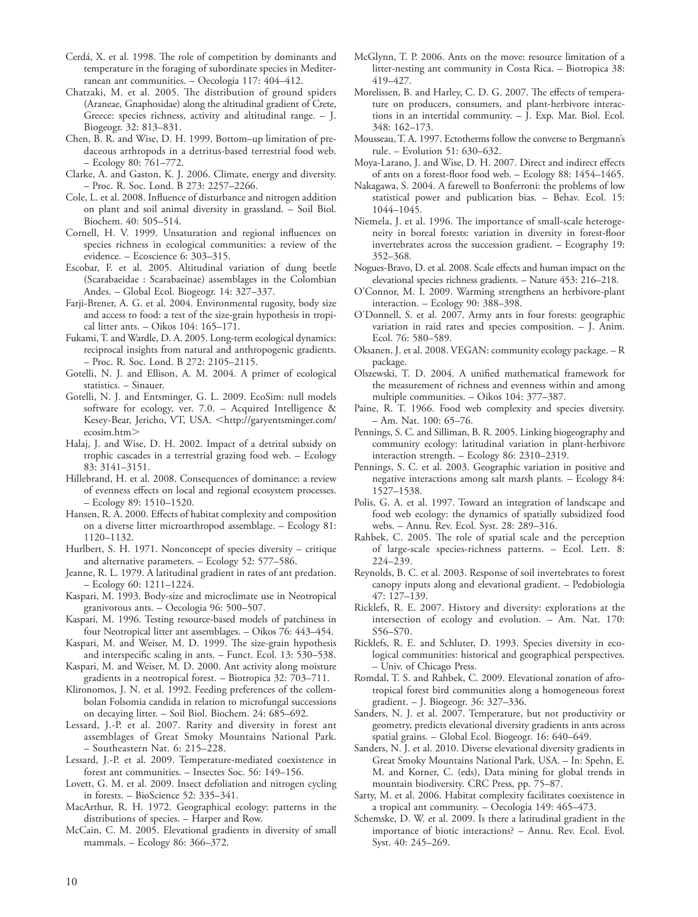- Cerdá, X. et al. 1998. The role of competition by dominants and temperature in the foraging of subordinate species in Mediterranean ant communities. – Oecologia 117: 404–412.
- Chatzaki, M. et al. 2005. The distribution of ground spiders (Araneae, Gnaphosidae) along the altitudinal gradient of Crete, Greece: species richness, activity and altitudinal range. – J. Biogeogr. 32: 813–831.
- Chen, B. R. and Wise, D. H. 1999. Bottom–up limitation of predaceous arthropods in a detritus-based terrestrial food web. – Ecology 80: 761–772.
- Clarke, A. and Gaston, K. J. 2006. Climate, energy and diversity. – Proc. R. Soc. Lond. B 273: 2257–2266.
- Cole, L. et al. 2008. Influence of disturbance and nitrogen addition on plant and soil animal diversity in grassland. – Soil Biol. Biochem. 40: 505–514.
- Cornell, H. V. 1999. Unsaturation and regional influences on species richness in ecological communities: a review of the evidence. – Ecoscience 6: 303–315.
- Escobar, F. et al. 2005. Altitudinal variation of dung beetle (Scarabaeidae : Scarabaeinae) assemblages in the Colombian Andes. – Global Ecol. Biogeogr. 14: 327–337.
- Farji-Brener, A. G. et al. 2004. Environmental rugosity, body size and access to food: a test of the size-grain hypothesis in tropical litter ants. – Oikos 104: 165–171.
- Fukami, T. and Wardle, D. A. 2005. Long-term ecological dynamics: reciprocal insights from natural and anthropogenic gradients. – Proc. R. Soc. Lond. B 272: 2105–2115.
- Gotelli, N. J. and Ellison, A. M. 2004. A primer of ecological statistics. – Sinauer.
- Gotelli, N. J. and Entsminger, G. L. 2009. EcoSim: null models software for ecology, ver. 7.0. – Acquired Intelligence & Kesey-Bear, Jericho, VT, USA. <http://garyentsminger.com/ ecosim.htm
- Halaj, J. and Wise, D. H. 2002. Impact of a detrital subsidy on trophic cascades in a terrestrial grazing food web. – Ecology 83: 3141–3151.
- Hillebrand, H. et al. 2008. Consequences of dominance: a review of evenness effects on local and regional ecosystem processes. – Ecology 89: 1510–1520.
- Hansen, R. A. 2000. Effects of habitat complexity and composition on a diverse litter microarthropod assemblage. – Ecology 81: 1120–1132.
- Hurlbert, S. H. 1971. Nonconcept of species diversity critique and alternative parameters. – Ecology 52: 577–586.
- Jeanne, R. L. 1979. A latitudinal gradient in rates of ant predation. – Ecology 60: 1211–1224.
- Kaspari, M. 1993. Body-size and microclimate use in Neotropical granivorous ants. – Oecologia 96: 500–507.
- Kaspari, M. 1996. Testing resource-based models of patchiness in four Neotropical litter ant assemblages. – Oikos 76: 443–454.
- Kaspari, M. and Weiser, M. D. 1999. The size-grain hypothesis and interspecific scaling in ants. – Funct. Ecol. 13: 530–538.
- Kaspari, M. and Weiser, M. D. 2000. Ant activity along moisture gradients in a neotropical forest. – Biotropica 32: 703–711.
- Klironomos, J. N. et al. 1992. Feeding preferences of the collembolan Folsomia candida in relation to microfungal successions on decaying litter. – Soil Biol. Biochem. 24: 685–692.
- Lessard, J.-P. et al. 2007. Rarity and diversity in forest ant assemblages of Great Smoky Mountains National Park. – Southeastern Nat. 6: 215–228.
- Lessard, J.-P. et al. 2009. Temperature-mediated coexistence in forest ant communities. – Insectes Soc. 56: 149–156.
- Lovett, G. M. et al. 2009. Insect defoliation and nitrogen cycling in forests. – BioScience 52: 335–341.
- MacArthur, R. H. 1972. Geographical ecology: patterns in the distributions of species. – Harper and Row.
- McCain, C. M. 2005. Elevational gradients in diversity of small mammals. – Ecology 86: 366–372.
- McGlynn, T. P. 2006. Ants on the move: resource limitation of a litter-nesting ant community in Costa Rica. – Biotropica 38: 419–427.
- Morelissen, B. and Harley, C. D. G. 2007. The effects of temperature on producers, consumers, and plant-herbivore interactions in an intertidal community. – J. Exp. Mar. Biol. Ecol. 348: 162–173.
- Mousseau, T. A. 1997. Ectotherms follow the converse to Bergmann's rule. – Evolution 51: 630–632.
- Moya-Larano, J. and Wise, D. H. 2007. Direct and indirect effects of ants on a forest-floor food web. – Ecology 88: 1454–1465.
- Nakagawa, S. 2004. A farewell to Bonferroni: the problems of low statistical power and publication bias. – Behav. Ecol. 15: 1044–1045.
- Niemela, J. et al. 1996. The importance of small-scale heterogeneity in boreal forests: variation in diversity in forest-floor invertebrates across the succession gradient. – Ecography 19: 352–368.
- Nogues-Bravo, D. et al. 2008. Scale effects and human impact on the elevational species richness gradients. – Nature 453: 216–218.
- O'Connor, M. I. 2009. Warming strengthens an herbivore-plant interaction. – Ecology 90: 388–398.
- O'Donnell, S. et al. 2007. Army ants in four forests: geographic variation in raid rates and species composition. – J. Anim. Ecol. 76: 580–589.
- Oksanen, J. et al. 2008. VEGAN: community ecology package. R package.
- Olszewski, T. D. 2004. A unified mathematical framework for the measurement of richness and evenness within and among multiple communities. – Oikos 104: 377–387.
- Paine, R. T. 1966. Food web complexity and species diversity. – Am. Nat. 100: 65–76.
- Pennings, S. C. and Silliman, B. R. 2005. Linking biogeography and community ecology: latitudinal variation in plant-herbivore interaction strength. – Ecology 86: 2310–2319.
- Pennings, S. C. et al. 2003. Geographic variation in positive and negative interactions among salt marsh plants. – Ecology 84: 1527–1538.
- Polis, G. A. et al. 1997. Toward an integration of landscape and food web ecology: the dynamics of spatially subsidized food webs. – Annu. Rev. Ecol. Syst. 28: 289–316.
- Rahbek, C. 2005. The role of spatial scale and the perception of large-scale species-richness patterns. – Ecol. Lett. 8: 224–239.
- Reynolds, B. C. et al. 2003. Response of soil invertebrates to forest canopy inputs along and elevational gradient. – Pedobiologia 47: 127–139.
- Ricklefs, R. E. 2007. History and diversity: explorations at the intersection of ecology and evolution. – Am. Nat. 170: S56–S70.
- Ricklefs, R. E. and Schluter, D. 1993. Species diversity in ecological communities: historical and geographical perspectives. – Univ. of Chicago Press.
- Romdal, T. S. and Rahbek, C. 2009. Elevational zonation of afrotropical forest bird communities along a homogeneous forest gradient. – J. Biogeogr. 36: 327–336.
- Sanders, N. J. et al. 2007. Temperature, but not productivity or geometry, predicts elevational diversity gradients in ants across spatial grains. – Global Ecol. Biogeogr. 16: 640–649.
- Sanders, N. J. et al. 2010. Diverse elevational diversity gradients in Great Smoky Mountains National Park, USA. – In: Spehn, E. M. and Korner, C. (eds), Data mining for global trends in mountain biodiversity. CRC Press, pp. 75–87.
- Sarty, M. et al. 2006. Habitat complexity facilitates coexistence in a tropical ant community. – Oecologia 149: 465–473.
- Schemske, D. W. et al. 2009. Is there a latitudinal gradient in the importance of biotic interactions? – Annu. Rev. Ecol. Evol. Syst. 40: 245–269.